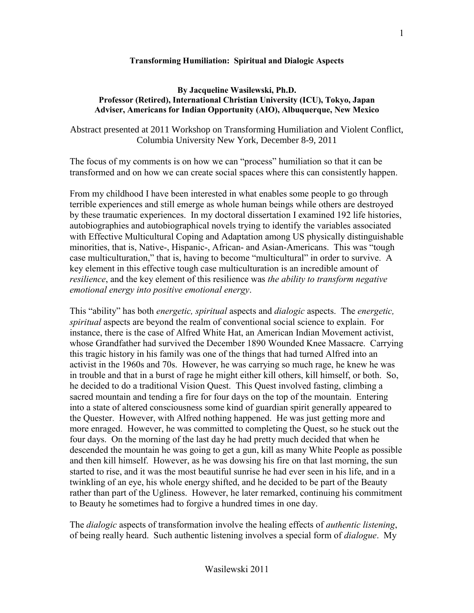## **Transforming Humiliation: Spiritual and Dialogic Aspects**

## **By Jacqueline Wasilewski, Ph.D. Professor (Retired), International Christian University (ICU), Tokyo, Japan Adviser, Americans for Indian Opportunity (AIO), Albuquerque, New Mexico**

Abstract presented at 2011 Workshop on Transforming Humiliation and Violent Conflict, Columbia University New York, December 8-9, 2011

The focus of my comments is on how we can "process" humiliation so that it can be transformed and on how we can create social spaces where this can consistently happen.

From my childhood I have been interested in what enables some people to go through terrible experiences and still emerge as whole human beings while others are destroyed by these traumatic experiences. In my doctoral dissertation I examined 192 life histories, autobiographies and autobiographical novels trying to identify the variables associated with Effective Multicultural Coping and Adaptation among US physically distinguishable minorities, that is, Native-, Hispanic-, African- and Asian-Americans. This was "tough case multiculturation," that is, having to become "multicultural" in order to survive. A key element in this effective tough case multiculturation is an incredible amount of *resilience*, and the key element of this resilience was *the ability to transform negative emotional energy into positive emotional energy*.

This "ability" has both *energetic, spiritual* aspects and *dialogic* aspects. The *energetic, spiritual* aspects are beyond the realm of conventional social science to explain. For instance, there is the case of Alfred White Hat, an American Indian Movement activist, whose Grandfather had survived the December 1890 Wounded Knee Massacre. Carrying this tragic history in his family was one of the things that had turned Alfred into an activist in the 1960s and 70s. However, he was carrying so much rage, he knew he was in trouble and that in a burst of rage he might either kill others, kill himself, or both. So, he decided to do a traditional Vision Quest. This Quest involved fasting, climbing a sacred mountain and tending a fire for four days on the top of the mountain. Entering into a state of altered consciousness some kind of guardian spirit generally appeared to the Quester. However, with Alfred nothing happened. He was just getting more and more enraged. However, he was committed to completing the Quest, so he stuck out the four days. On the morning of the last day he had pretty much decided that when he descended the mountain he was going to get a gun, kill as many White People as possible and then kill himself. However, as he was dowsing his fire on that last morning, the sun started to rise, and it was the most beautiful sunrise he had ever seen in his life, and in a twinkling of an eye, his whole energy shifted, and he decided to be part of the Beauty rather than part of the Ugliness. However, he later remarked, continuing his commitment to Beauty he sometimes had to forgive a hundred times in one day.

The *dialogic* aspects of transformation involve the healing effects of *authentic listening*, of being really heard. Such authentic listening involves a special form of *dialogue*. My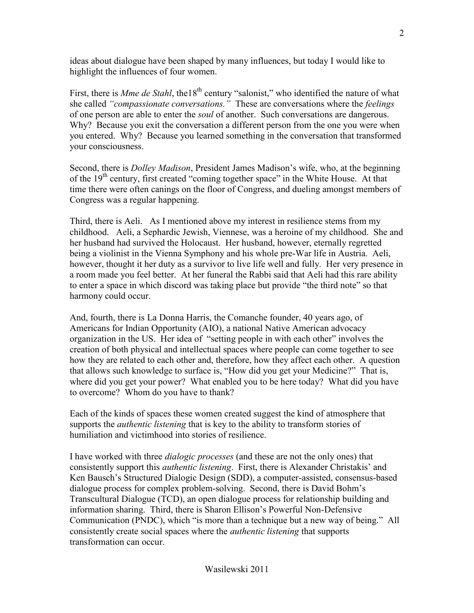ideas about dialogue have been shaped by many influences, but today I would like to highlight the influences of four women.

First, there is *Mme de Stahl*, the18<sup>th</sup> century "salonist," who identified the nature of what she called *"compassionate conversations."* These are conversations where the *feelings* of one person are able to enter the *soul* of another. Such conversations are dangerous. Why? Because you exit the conversation a different person from the one you were when you entered. Why? Because you learned something in the conversation that transformed your consciousness.

Second, there is *Dolley Madison*, President James Madison's wife, who, at the beginning of the  $19<sup>th</sup>$  century, first created "coming together space" in the White House. At that time there were often canings on the floor of Congress, and dueling amongst members of Congress was a regular happening.

Third, there is Aeli. As I mentioned above my interest in resilience stems from my childhood. Aeli, a Sephardic Jewish, Viennese, was a heroine of my childhood. She and her husband had survived the Holocaust. Her husband, however, eternally regretted being a violinist in the Vienna Symphony and his whole pre-War life in Austria. Aeli, however, thought it her duty as a survivor to live life well and fully. Her very presence in a room made you feel better. At her funeral the Rabbi said that Aeli had this rare ability to enter a space in which discord was taking place but provide "the third note" so that harmony could occur.

And, fourth, there is La Donna Harris, the Comanche founder, 40 years ago, of Americans for Indian Opportunity (AIO), a national Native American advocacy organization in the US. Her idea of "setting people in with each other" involves the creation of both physical and intellectual spaces where people can come together to see how they are related to each other and, therefore, how they affect each other. A question that allows such knowledge to surface is, "How did you get your Medicine?" That is, where did you get your power? What enabled you to be here today? What did you have to overcome? Whom do you have to thank?

Each of the kinds of spaces these women created suggest the kind of atmosphere that supports the *authentic listening* that is key to the ability to transform stories of humiliation and victimhood into stories of resilience.

I have worked with three *dialogic processes* (and these are not the only ones) that consistently support this *authentic listening*.First, there is Alexander Christakis' and Ken Bausch's Structured Dialogic Design (SDD), a computer-assisted, consensus-based dialogue process for complex problem-solving. Second, there is David Bohm's Transcultural Dialogue (TCD), an open dialogue process for relationship building and information sharing. Third, there is Sharon Ellison's Powerful Non-Defensive Communication (PNDC), which "is more than a technique but a new way of being." All consistently create social spaces where the *authentic listening* that supports transformation can occur.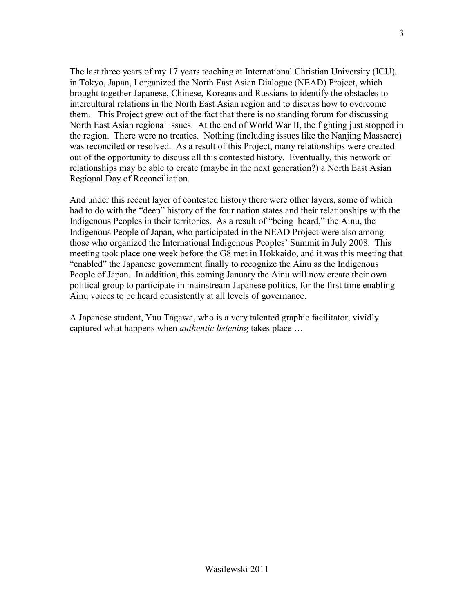The last three years of my 17 years teaching at International Christian University (ICU), in Tokyo, Japan, I organized the North East Asian Dialogue (NEAD) Project, which brought together Japanese, Chinese, Koreans and Russians to identify the obstacles to intercultural relations in the North East Asian region and to discuss how to overcome them. This Project grew out of the fact that there is no standing forum for discussing North East Asian regional issues. At the end of World War II, the fighting just stopped in the region. There were no treaties. Nothing (including issues like the Nanjing Massacre) was reconciled or resolved. As a result of this Project, many relationships were created out of the opportunity to discuss all this contested history. Eventually, this network of relationships may be able to create (maybe in the next generation?) a North East Asian Regional Day of Reconciliation.

And under this recent layer of contested history there were other layers, some of which had to do with the "deep" history of the four nation states and their relationships with the Indigenous Peoples in their territories. As a result of "being heard," the Ainu, the Indigenous People of Japan, who participated in the NEAD Project were also among those who organized the International Indigenous Peoples' Summit in July 2008. This meeting took place one week before the G8 met in Hokkaido, and it was this meeting that "enabled" the Japanese government finally to recognize the Ainu as the Indigenous People of Japan. In addition, this coming January the Ainu will now create their own political group to participate in mainstream Japanese politics, for the first time enabling Ainu voices to be heard consistently at all levels of governance.

A Japanese student, Yuu Tagawa, who is a very talented graphic facilitator, vividly captured what happens when *authentic listening* takes place …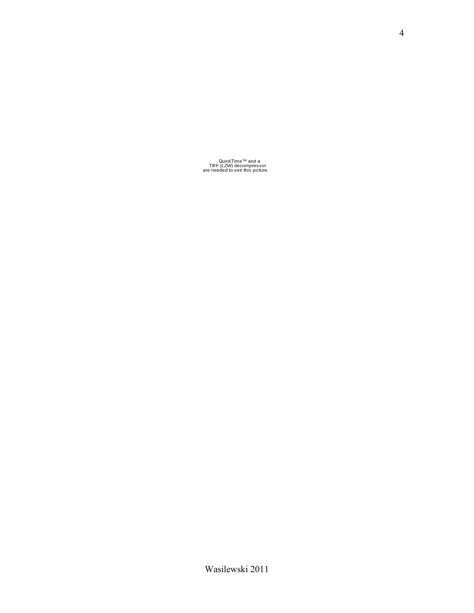QuickTime™ and a TIFF (LZW) decompressor are needed to see this picture.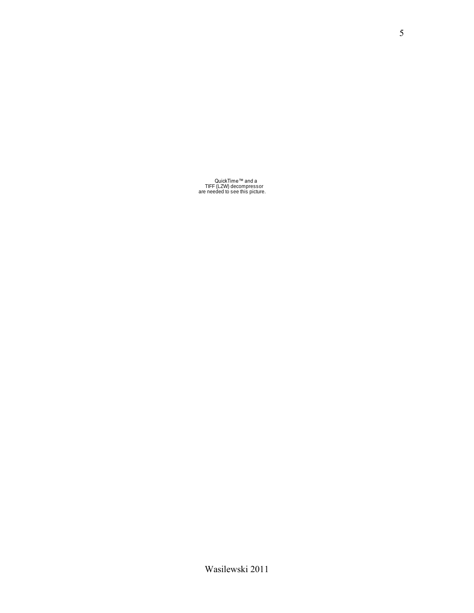QuickTime™ and a TIFF (LZW) decompressor are needed to see this picture.